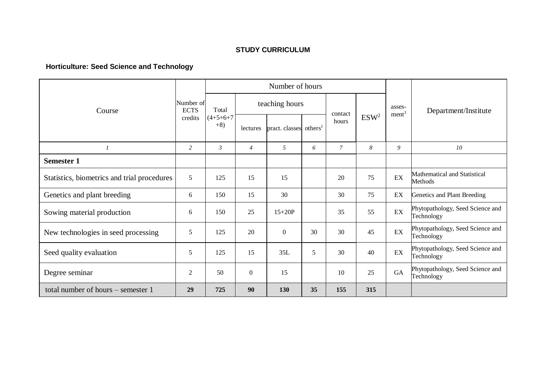## **STUDY CURRICULUM**

## **Horticulture: Seed Science and Technology**

|                                             |                                     | Number of hours               |                |                                    |    |               |                  |                             |                                                |
|---------------------------------------------|-------------------------------------|-------------------------------|----------------|------------------------------------|----|---------------|------------------|-----------------------------|------------------------------------------------|
| Course                                      | Number of<br><b>ECTS</b><br>credits | Total<br>$(4+5+6+7)$<br>$+8)$ | teaching hours |                                    |    | contact       |                  | asses-<br>ment <sup>3</sup> | Department/Institute                           |
|                                             |                                     |                               | lectures       | pract. classes others <sup>1</sup> |    | hours         | ESW <sup>2</sup> |                             |                                                |
| $\boldsymbol{l}$                            | $\overline{2}$                      | $\mathfrak{Z}$                | $\overline{4}$ | 5                                  | 6  | $\mathcal{I}$ | 8                | 9                           | 10                                             |
| <b>Semester 1</b>                           |                                     |                               |                |                                    |    |               |                  |                             |                                                |
| Statistics, biometrics and trial procedures | 5                                   | 125                           | 15             | 15                                 |    | 20            | 75               | EX                          | Mathematical and Statistical<br>Methods        |
| Genetics and plant breeding                 | 6                                   | 150                           | 15             | 30                                 |    | 30            | 75               | EX                          | Genetics and Plant Breeding                    |
| Sowing material production                  | 6                                   | 150                           | 25             | $15+20P$                           |    | 35            | 55               | $\mathop{\rm EX}\nolimits$  | Phytopathology, Seed Science and<br>Technology |
| New technologies in seed processing         | 5                                   | 125                           | 20             | $\boldsymbol{0}$                   | 30 | 30            | 45               | EX                          | Phytopathology, Seed Science and<br>Technology |
| Seed quality evaluation                     | 5                                   | 125                           | 15             | 35L                                | 5  | 30            | 40               | EX                          | Phytopathology, Seed Science and<br>Technology |
| Degree seminar                              | 2                                   | 50                            | $\overline{0}$ | 15                                 |    | 10            | 25               | GA                          | Phytopathology, Seed Science and<br>Technology |
| total number of hours – semester 1          | 29                                  | 725                           | 90             | <b>130</b>                         | 35 | 155           | 315              |                             |                                                |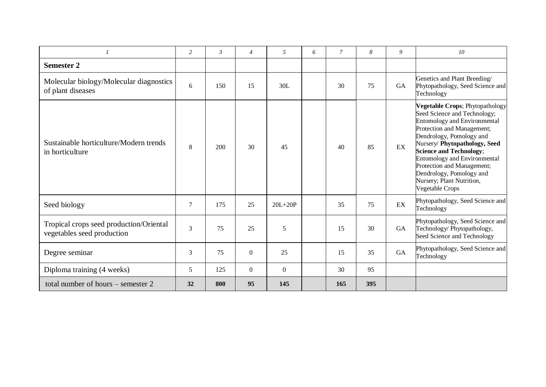|                                                                       | $\overline{c}$ | $\mathfrak{Z}$ | $\overline{4}$   | 5              | 6 | $\overline{7}$ | 8   | 9         | 10                                                                                                                                                                                                                                                                                                                                                                                  |
|-----------------------------------------------------------------------|----------------|----------------|------------------|----------------|---|----------------|-----|-----------|-------------------------------------------------------------------------------------------------------------------------------------------------------------------------------------------------------------------------------------------------------------------------------------------------------------------------------------------------------------------------------------|
| <b>Semester 2</b>                                                     |                |                |                  |                |   |                |     |           |                                                                                                                                                                                                                                                                                                                                                                                     |
| Molecular biology/Molecular diagnostics<br>of plant diseases          | 6              | 150            | 15               | 30L            |   | 30             | 75  | <b>GA</b> | Genetics and Plant Breeding/<br>Phytopathology, Seed Science and<br>Technology                                                                                                                                                                                                                                                                                                      |
| Sustainable horticulture/Modern trends<br>in horticulture             | 8              | 200            | 30               | 45             |   | 40             | 85  | EX        | Vegetable Crops; Phytopathology<br>Seed Science and Technology;<br><b>Entomology and Environmental</b><br>Protection and Management;<br>Dendrology, Pomology and<br>Nursery/Phytopathology, Seed<br><b>Science and Technology;</b><br><b>Entomology and Environmental</b><br>Protection and Management;<br>Dendrology, Pomology and<br>Nursery; Plant Nutrition,<br>Vegetable Crops |
| Seed biology                                                          | 7              | 175            | 25               | $20L+20P$      |   | 35             | 75  | EX        | Phytopathology, Seed Science and<br>Technology                                                                                                                                                                                                                                                                                                                                      |
| Tropical crops seed production/Oriental<br>vegetables seed production | 3              | 75             | 25               | 5              |   | 15             | 30  | GA        | Phytopathology, Seed Science and<br>Technology/ Phytopathology,<br>Seed Science and Technology                                                                                                                                                                                                                                                                                      |
| Degree seminar                                                        | 3              | 75             | $\boldsymbol{0}$ | 25             |   | 15             | 35  | GA        | Phytopathology, Seed Science and<br>Technology                                                                                                                                                                                                                                                                                                                                      |
| Diploma training (4 weeks)                                            | 5              | 125            | $\theta$         | $\overline{0}$ |   | 30             | 95  |           |                                                                                                                                                                                                                                                                                                                                                                                     |
| total number of hours – semester 2                                    | 32             | 800            | 95               | 145            |   | 165            | 395 |           |                                                                                                                                                                                                                                                                                                                                                                                     |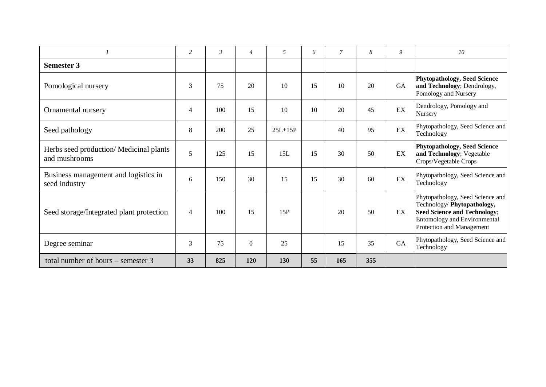|                                                          | 2              | $\mathfrak{Z}$ | $\overline{4}$ | 5         | 6  | $\mathcal{I}$ | 8   | 9  | 10                                                                                                                                                                         |
|----------------------------------------------------------|----------------|----------------|----------------|-----------|----|---------------|-----|----|----------------------------------------------------------------------------------------------------------------------------------------------------------------------------|
| <b>Semester 3</b>                                        |                |                |                |           |    |               |     |    |                                                                                                                                                                            |
| Pomological nursery                                      | 3              | 75             | 20             | 10        | 15 | 10            | 20  | GA | <b>Phytopathology, Seed Science</b><br>and Technology; Dendrology,<br>Pomology and Nursery                                                                                 |
| Ornamental nursery                                       | $\overline{4}$ | 100            | 15             | 10        | 10 | 20            | 45  | EX | Dendrology, Pomology and<br>Nursery                                                                                                                                        |
| Seed pathology                                           | 8              | 200            | 25             | $25L+15P$ |    | 40            | 95  | EX | Phytopathology, Seed Science and<br>Technology                                                                                                                             |
| Herbs seed production/ Medicinal plants<br>and mushrooms | 5              | 125            | 15             | 15L       | 15 | 30            | 50  | EX | <b>Phytopathology, Seed Science</b><br>and Technology; Vegetable<br>Crops/Vegetable Crops                                                                                  |
| Business management and logistics in<br>seed industry    | 6              | 150            | 30             | 15        | 15 | 30            | 60  | EX | Phytopathology, Seed Science and<br>Technology                                                                                                                             |
| Seed storage/Integrated plant protection                 | $\overline{4}$ | 100            | 15             | 15P       |    | 20            | 50  | EX | Phytopathology, Seed Science and<br>Technology/ Phytopathology,<br><b>Seed Science and Technology;</b><br><b>Entomology and Environmental</b><br>Protection and Management |
| Degree seminar                                           | 3              | 75             | $\Omega$       | 25        |    | 15            | 35  | GA | Phytopathology, Seed Science and<br>Technology                                                                                                                             |
| total number of hours $-$ semester 3                     | 33             | 825            | 120            | 130       | 55 | 165           | 355 |    |                                                                                                                                                                            |